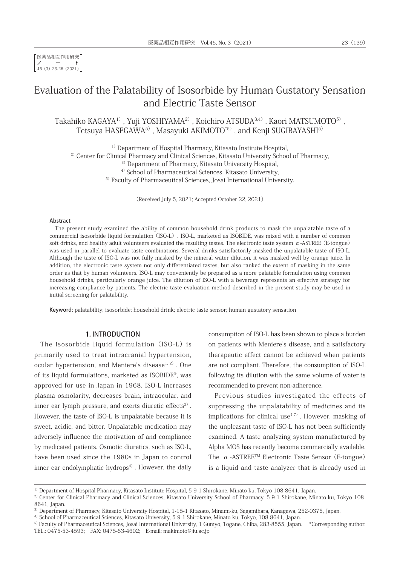医薬品相互作用研究 ノート 45(3)23-28(2021)

# Evaluation of the Palatability of Isosorbide by Human Gustatory Sensation and Electric Taste Sensor

Takahiko KAGAYA<sup>1)</sup>, Yuji YOSHIYAMA<sup>2)</sup>, Koichiro ATSUDA<sup>3,4)</sup>, Kaori MATSUMOTO<sup>5)</sup>, Tetsuya HASEGAWA<sup>5)</sup>, Masayuki AKIMOTO<sup>\*5)</sup>, and Kenji SUGIBAYASHI<sup>5)</sup>

<sup>1)</sup> Department of Hospital Pharmacy, Kitasato Institute Hospital, <sup>2)</sup> Center for Clinical Pharmacy and Clinical Sciences, Kitasato University School of Pharmacy, <sup>3)</sup> Department of Pharmacy, Kitasato University Hospital, <sup>4)</sup> School of Pharmaceutical Sciences, Kitasato University, <sup>5)</sup> Faculty of Pharmaceutical Sciences, Josai International University.

(Received July 5, 2021; Accepted October 22, 2021)

#### **Abstract**

The present study examined the ability of common household drink products to mask the unpalatable taste of a commercial isosorbide liquid formulation(ISO-L). ISO-L, marketed as ISOBIDE, was mixed with a number of common soft drinks, and healthy adult volunteers evaluated the resulting tastes. The electronic taste system  $\alpha$ -ASTREE (E-tongue) was used in parallel to evaluate taste combinations. Several drinks satisfactorily masked the unpalatable taste of ISO-L. Although the taste of ISO-L was not fully masked by the mineral water dilution, it was masked well by orange juice. In addition, the electronic taste system not only differentiated tastes, but also ranked the extent of masking in the same order as that by human volunteers. ISO-L may conveniently be prepared as a more palatable formulation using common household drinks, particularly orange juice. The dilution of ISO-L with a beverage represents an effective strategy for increasing compliance by patients. The electric taste evaluation method described in the present study may be used in initial screening for palatability.

Keyword: palatability; isosorbide; household drink; electric taste sensor; human gustatory sensation

### 1. INTRODUCTION

The isosorbide liquid formulation (ISO-L) is primarily used to treat intracranial hypertension, ocular hypertension, and Meniere's disease $1, 2$ ). One of its liquid formulations, marketed as ISOBIDE®, was approved for use in Japan in 1968. ISO-L increases plasma osmolarity, decreases brain, intraocular, and inner ear lymph pressure, and exerts diuretic effects<sup>3)</sup>. However, the taste of ISO-L is unpalatable because it is sweet, acidic, and bitter. Unpalatable medication may adversely influence the motivation of and compliance by medicated patients. Osmotic diuretics, such as ISO-L, have been used since the 1980s in Japan to control inner ear endolymphatic hydrops<sup>4)</sup>. However, the daily

consumption of ISO-L has been shown to place a burden on patients with Meniere's disease, and a satisfactory therapeutic effect cannot be achieved when patients are not compliant. Therefore, the consumption of ISO-L following its dilution with the same volume of water is recommended to prevent non-adherence.

Previous studies investigated the effects of suppressing the unpalatability of medicines and its implications for clinical use<sup> $4-7$ </sup>. However, masking of the unpleasant taste of ISO-L has not been sufficiently examined. A taste analyzing system manufactured by Alpha MOS has recently become commercially available. The  $\alpha$  -ASTREE<sup>TM</sup> Electronic Taste Sensor (E-tongue) is a liquid and taste analyzer that is already used in

<sup>1)</sup> Department of Hospital Pharmacy, Kitasato Institute Hospital, 5-9-1 Shirokane, Minato-ku, Tokyo 108-8641, Japan.

<sup>&</sup>lt;sup>2)</sup> Center for Clinical Pharmacy and Clinical Sciences, Kitasato University School of Pharmacy, 5-9-1 Shirokane, Minato-ku, Tokyo 108-8641, Japan.

<sup>&</sup>lt;sup>3)</sup> Department of Pharmacy, Kitasato University Hospital, 1-15-1 Kitasato, Minami-ku, Sagamihara, Kanagawa, 252-0375, Japan.

<sup>4)</sup>School of Pharmaceutical Sciences, Kitasato University, 5-9-1 Shirokane, Minato-ku, Tokyo, 108-8641, Japan.

<sup>&</sup>lt;sup>5)</sup> Faculty of Pharmaceutical Sciences, Josai International University, 1 Gumyo, Togane, Chiba, 283-8555, Japan. \*Corresponding author. TEL.: 0475-53-4593; FAX: 0475-53-4602; E-mail: makimoto@jiu.ac.jp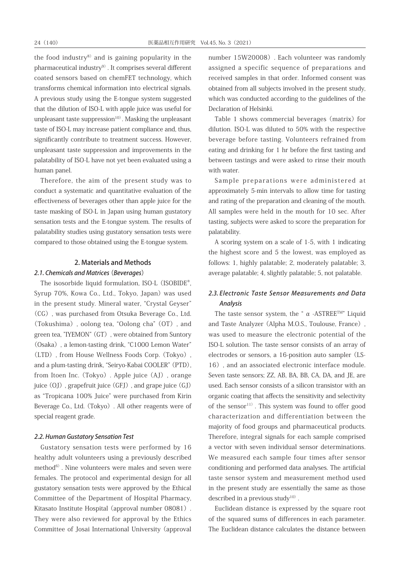the food industry $8$ ) and is gaining popularity in the pharmaceutical industry<sup>9)</sup>. It comprises several different coated sensors based on chemFET technology, which transforms chemical information into electrical signals. A previous study using the E-tongue system suggested that the dilution of ISO-L with apple juice was useful for unpleasant taste suppression $10$ <sup>0</sup>. Masking the unpleasant taste of ISO-L may increase patient compliance and, thus, significantly contribute to treatment success. However, unpleasant taste suppression and improvements in the palatability of ISO-L have not yet been evaluated using a human panel.

Therefore, the aim of the present study was to conduct a systematic and quantitative evaluation of the effectiveness of beverages other than apple juice for the taste masking of ISO-L in Japan using human gustatory sensation tests and the E-tongue system. The results of palatability studies using gustatory sensation tests were compared to those obtained using the E-tongue system.

### 2. Materials and Methods

#### 2.1. Chemicals and Matrices (Beverages)

The isosorbide liquid formulation, ISO-L (ISOBIDE®, Syrup 70%, Kowa Co., Ltd., Tokyo, Japan) was used in the present study. Mineral water, "Crystal Geyser" (CG), was purchased from Otsuka Beverage Co., Ltd. (Tokushima), oolong tea, "Oolong cha"(OT), and green tea, "IYEMON" (GT), were obtained from Suntory (Osaka), a lemon-tasting drink, "C1000 Lemon Water" (LTD), from House Wellness Foods Corp.(Tokyo), and a plum-tasting drink, "Seiryo-Kabai COOLER"(PTD), from Itoen Inc. (Tokyo). Apple juice (AJ), orange juice (OJ), grapefruit juice (GFJ), and grape juice (GJ) as "Tropicana 100% Juice" were purchased from Kirin Beverage Co., Ltd. (Tokyo). All other reagents were of special reagent grade.

#### 2.2. Human Gustatory Sensation Test

Gustatory sensation tests were performed by 16 healthy adult volunteers using a previously described  $method<sup>6</sup>$ . Nine volunteers were males and seven were females. The protocol and experimental design for all gustatory sensation tests were approved by the Ethical Committee of the Department of Hospital Pharmacy, Kitasato Institute Hospital (approval number 08081). They were also reviewed for approval by the Ethics Committee of Josai International University(approval

number 15W20008). Each volunteer was randomly assigned a specific sequence of preparations and received samples in that order. Informed consent was obtained from all subjects involved in the present study, which was conducted according to the guidelines of the Declaration of Helsinki.

Table 1 shows commercial beverages (matrix) for dilution. ISO-L was diluted to 50% with the respective beverage before tasting. Volunteers refrained from eating and drinking for 1 hr before the first tasting and between tastings and were asked to rinse their mouth with water.

Sample preparations were administered at approximately 5-min intervals to allow time for tasting and rating of the preparation and cleaning of the mouth. All samples were held in the mouth for 10 sec. After tasting, subjects were asked to score the preparation for palatability.

A scoring system on a scale of 1-5, with 1 indicating the highest score and 5 the lowest, was employed as follows: 1, highly palatable; 2, moderately palatable; 3, average palatable; 4, slightly palatable; 5, not palatable.

# 2.3. Electronic Taste Sensor Measurements and Data Analysis

The taste sensor system, the "  $\alpha$  -ASTREE<sup>TM"</sup> Liquid and Taste Analyzer (Alpha M.O.S., Toulouse, France), was used to measure the electronic potential of the ISO-L solution. The taste sensor consists of an array of electrodes or sensors, a 16-position auto sampler (LS-16), and an associated electronic interface module. Seven taste sensors; ZZ, AB, BA, BB, CA, DA, and JE, are used. Each sensor consists of a silicon transistor with an organic coating that affects the sensitivity and selectivity of the sensor<sup>11)</sup>. This system was found to offer good characterization and differentiation between the majority of food groups and pharmaceutical products. Therefore, integral signals for each sample comprised a vector with seven individual sensor determinations. We measured each sample four times after sensor conditioning and performed data analyses. The artificial taste sensor system and measurement method used in the present study are essentially the same as those described in a previous study<sup>10)</sup>.

Euclidean distance is expressed by the square root of the squared sums of differences in each parameter. The Euclidean distance calculates the distance between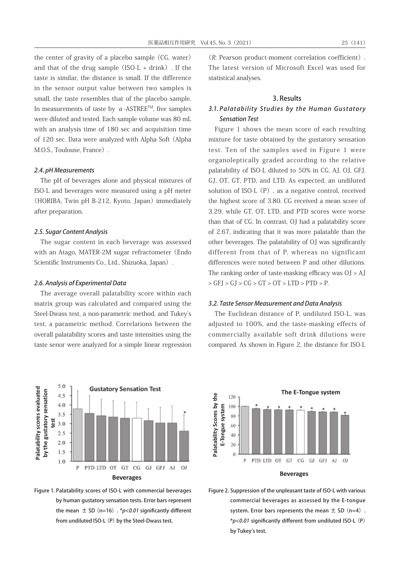the center of gravity of a placebo sample (CG, water) and that of the drug sample  $(ISO-L + drink)$ . If the taste is similar, the distance is small. If the difference in the sensor output value between two samples is small, the taste resembles that of the placebo sample. In measurements of taste by  $\alpha$ -ASTREE<sup>TM</sup>, five samples were diluted and tested. Each sample volume was 80 mL with an analysis time of 180 sec and acquisition time of 120 sec. Data were analyzed with Alpha Soft(Alpha M.O.S., Toulouse, France).

### 2.4. pH Measurements

The pH of beverages alone and physical mixtures of ISO-L and beverages were measured using a pH meter (HORIBA, Twin pH B-212, Kyoto, Japan) immediately after preparation.

#### 2.5. Sugar Content Analysis

The sugar content in each beverage was assessed with an Atago, MATER-2M sugar refractometer (Endo Scientific Instruments Co., Ltd., Shizuoka, Japan).

#### 2.6. Analysis of Experimental Data

The average overall palatability score within each matrix group was calculated and compared using the Steel-Dwass test, a non-parametric method, and Tukey's test, a parametric method. Correlations between the overall palatability scores and taste intensities using the taste senor were analyzed for a simple linear regression





(R: Pearson product-moment correlation coefficient). The latest version of Microsoft Excel was used for statistical analyses.

#### 3. Results

# 3.1. Palatability Studies by the Human Gustatory Sensation Test

Figure 1 shows the mean score of each resulting mixture for taste obtained by the gustatory sensation test. Ten of the samples used in Figure 1 were organoleptically graded according to the relative palatability of ISO-L diluted to 50% in CG, AJ, OJ, GFJ, GJ, OT, GT, PTD, and LTD. As expected, an undiluted solution of ISO-L $(P)$ , as a negative control, received the highest score of 3.80. CG received a mean score of 3.29, while GT, OT, LTD, and PTD scores were worse than that of CG. In contrast, OJ had a palatability score of 2.67, indicating that it was more palatable than the other beverages. The palatability of OJ was significantly different from that of P, whereas no significant differences were noted between P and other dilutions. The ranking order of taste-masking efficacy was OJ > AJ  $>$  GFJ  $>$  GJ  $>$  CG  $>$  GT  $>$  OT  $>$  LTD  $>$  PTD  $>$  P.

#### 3.2. Taste Sensor Measurement and Data Analysis

The Euclidean distance of P, undiluted ISO-L, was adjusted to 100%, and the taste-masking effects of commercially available soft drink dilutions were compared. As shown in Figure 2, the distance for ISO-L



Figure 2. Suppression of the unpleasant taste of ISO-L with various commercial beverages as assessed by the E-tongue system. Error bars represents the mean  $\pm$  SD (n=4). \*p<0.01 significantly different from undiluted ISO-L (P) by Tukey's test.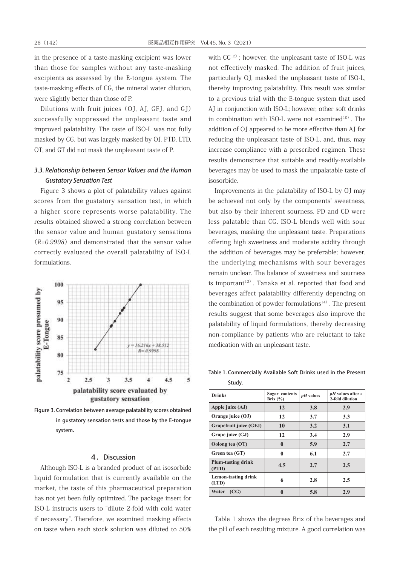in the presence of a taste-masking excipient was lower than those for samples without any taste-masking excipients as assessed by the E-tongue system. The taste-masking effects of CG, the mineral water dilution, were slightly better than those of P.

Dilutions with fruit juices(OJ, AJ, GFJ, and GJ) successfully suppressed the unpleasant taste and improved palatability. The taste of ISO-L was not fully masked by CG, but was largely masked by OJ. PTD, LTD, OT, and GT did not mask the unpleasant taste of P.

## 3.3. Relationship between Sensor Values and the Human Gustatory Sensation Test

Figure 3 shows a plot of palatability values against scores from the gustatory sensation test, in which a higher score represents worse palatability. The results obtained showed a strong correlation between the sensor value and human gustatory sensations  $(R=0.9998)$  and demonstrated that the sensor value correctly evaluated the overall palatability of ISO-L formulations.



Figure 3. Correlation between average palatability scores obtained in gustatory sensation tests and those by the E-tongue system.

#### 4.Discussion

Although ISO-L is a branded product of an isosorbide liquid formulation that is currently available on the market, the taste of this pharmaceutical preparation has not yet been fully optimized. The package insert for ISO-L instructs users to "dilute 2-fold with cold water if necessary". Therefore, we examined masking effects on taste when each stock solution was diluted to 50% with  $CG^{12}$ ; however, the unpleasant taste of ISO-L was not effectively masked. The addition of fruit juices, particularly OJ, masked the unpleasant taste of ISO-L, thereby improving palatability. This result was similar to a previous trial with the E-tongue system that used AJ in conjunction with ISO-L; however, other soft drinks in combination with ISO-L were not examined $10$ <sup>10</sup>. The addition of OJ appeared to be more effective than AJ for reducing the unpleasant taste of ISO-L, and, thus, may increase compliance with a prescribed regimen. These results demonstrate that suitable and readily-available beverages may be used to mask the unpalatable taste of isosorbide.

the addition of beverages may be preferable; however, Improvements in the palatability of ISO-L by OJ may be achieved not only by the components' sweetness, but also by their inherent sourness. PD and CD were less palatable than CG. ISO-L blends well with sour beverages, masking the unpleasant taste. Preparations offering high sweetness and moderate acidity through the underlying mechanisms with sour beverages remain unclear. The balance of sweetness and sourness is important<sup>13)</sup>. Tanaka et al. reported that food and beverages affect palatability differently depending on the combination of powder formulations<sup>14)</sup>. The present results suggest that some beverages also improve the palatability of liquid formulations, thereby decreasing non-compliance by patients who are reluctant to take medication with an unpleasant taste.

**Table 1.** Commercially Available Study. Table 1. Commercially Available Soft Drinks used in the Present Study.

| <b>Drinks</b>                       | Sugar contents<br>Brix $(\% )$ | $pH$ values | <i>pH</i> values after a<br>2-fold dilution |
|-------------------------------------|--------------------------------|-------------|---------------------------------------------|
| Apple juice (AJ)                    | 12                             | 3.8         | 2.9                                         |
| Orange juice (OJ)                   | 12                             | 3.7         | 3.3                                         |
| Grapefruit juice (GFJ)              | 10                             | 3.2         | 3.1                                         |
| Grape juice (GJ)                    | 12                             | 3.4         | 2.9                                         |
| Oolong tea (OT)                     | $\mathbf{0}$                   | 5.9         | 2.7                                         |
| Green tea (GT)                      | 0                              | 6.1         | 2.7                                         |
| <b>Plum-tasting drink</b><br>(PTD)  | 4.5                            | 2.7         | 2.5                                         |
| <b>Lemon-tasting drink</b><br>(LTD) | 6                              | 2.8         | 2.5                                         |
| Water<br>(CG)                       | 0                              | 5.8         | 2.9                                         |

Table 1 shows the degrees Brix of the beverages and the pH of each resulting mixture. A good correlation was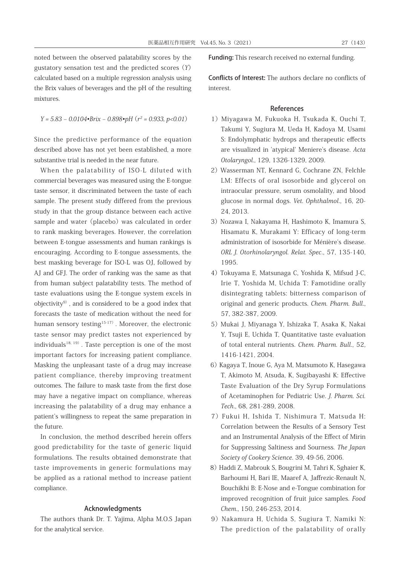noted between the observed palatability scores by the gustatory sensation test and the predicted scores  $(Y)$ calculated based on a multiple regression analysis using the Brix values of beverages and the pH of the resulting mixtures.

$$
Y = 5.83 - 0.0104 \cdot Brix - 0.898 \cdot pH (r^2 = 0.933, p < 0.01)
$$

Since the predictive performance of the equation described above has not yet been established, a more substantive trial is needed in the near future.

When the palatability of ISO-L diluted with commercial beverages was measured using the E-tongue taste sensor, it discriminated between the taste of each sample. The present study differed from the previous study in that the group distance between each active sample and water (placebo) was calculated in order to rank masking beverages. However, the correlation between E-tongue assessments and human rankings is encouraging. According to E-tongue assessments, the best masking beverage for ISO-L was OJ, followed by AJ and GFJ. The order of ranking was the same as that from human subject palatability tests. The method of taste evaluations using the E-tongue system excels in objectivity $9$ , and is considered to be a good index that forecasts the taste of medication without the need for human sensory testing<sup>15-17)</sup>. Moreover, the electronic taste sensor may predict tastes not experienced by individuals<sup>18, 19)</sup>. Taste perception is one of the most important factors for increasing patient compliance. Masking the unpleasant taste of a drug may increase patient compliance, thereby improving treatment outcomes. The failure to mask taste from the first dose may have a negative impact on compliance, whereas increasing the palatability of a drug may enhance a patient's willingness to repeat the same preparation in the future.

In conclusion, the method described herein offers good predictability for the taste of generic liquid formulations. The results obtained demonstrate that taste improvements in generic formulations may be applied as a rational method to increase patient compliance.

#### Acknowledgments

The authors thank Dr. T. Yajima, Alpha M.O.S Japan for the analytical service.

Funding: This research received no external funding.

Conflicts of Interest: The authors declare no conflicts of interest.

#### References

- 1)Miyagawa M, Fukuoka H, Tsukada K, Ouchi T, Takumi Y, Sugiura M, Ueda H, Kadoya M, Usami S: Endolymphatic hydrops and therapeutic effects are visualized in 'atypical' Meniere's disease. Acta Otolaryngol., 129, 1326-1329, 2009.
- 2)Wasserman NT, Kennard G, Cochrane ZN, Felchle LM: Effects of oral isosorbide and glycerol on intraocular pressure, serum osmolality, and blood glucose in normal dogs. Vet. Ophthalmol., 16, 20- 24, 2013.
- 3) Nozawa I, Nakayama H, Hashimoto K, Imamura S, Hisamatu K, Murakami Y: Efficacy of long-term administration of isosorbide for Ménière's disease. ORL J. Otorhinolaryngol. Relat. Spec., 57, 135-140, 1995.
- 4)Tokuyama E, Matsunaga C, Yoshida K, Mifsud J-C, Irie T, Yoshida M, Uchida T: Famotidine orally disintegrating tablets: bitterness comparison of original and generic products. Chem. Pharm. Bull., 57, 382-387, 2009.
- 5)Mukai J, Miyanaga Y, Ishizaka T, Asaka K, Nakai Y, Tsuji E, Uchida T, Quantitative taste evaluation of total enteral nutrients. Chem. Pharm. Bull., 52, 1416-1421, 2004.
- 6)Kagaya T, Inoue G, Aya M, Matsumoto K, Hasegawa T, Akimoto M, Atsuda, K, Sugibayashi K: Effective Taste Evaluation of the Dry Syrup Formulations of Acetaminophen for Pediatric Use. J. Pharm. Sci. Tech., 68, 281-289, 2008.
- 7)Fukui H, Ishida T, Nishimura T, Matsuda H: Correlation between the Results of a Sensory Test and an Instrumental Analysis of the Effect of Mirin for Suppressing Saltiness and Sourness. The Japan Society of Cookery Science. 39, 49-56, 2006.
- 8) Haddi Z, Mabrouk S, Bougrini M, Tahri K, Sghaier K, Barhoumi H, Bari IE, Maaref A, Jaffrezic-Renault N, Bouchikhi B: E-Nose and e-Tongue combination for improved recognition of fruit juice samples. Food Chem., 150, 246-253, 2014.
- 9) Nakamura H, Uchida S, Sugiura T, Namiki N: The prediction of the palatability of orally